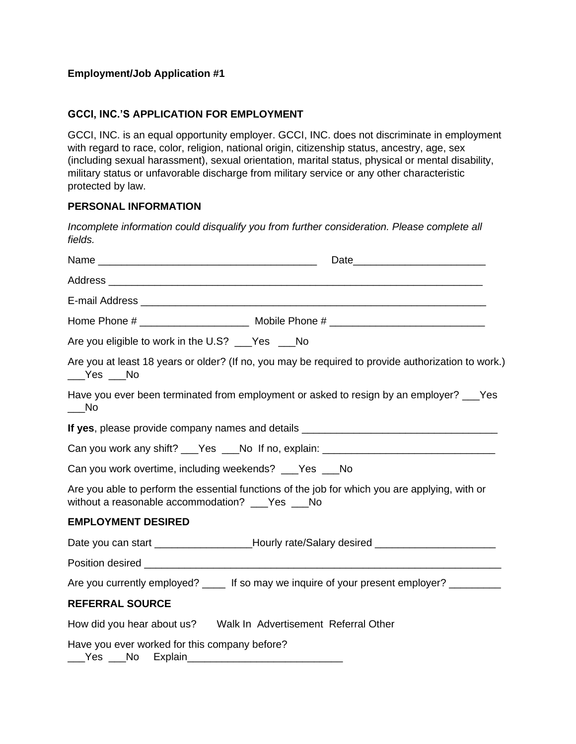# **Employment/Job Application #1**

## **GCCI, INC.'S APPLICATION FOR EMPLOYMENT**

GCCI, INC. is an equal opportunity employer. GCCI, INC. does not discriminate in employment with regard to race, color, religion, national origin, citizenship status, ancestry, age, sex (including sexual harassment), sexual orientation, marital status, physical or mental disability, military status or unfavorable discharge from military service or any other characteristic protected by law.

### **PERSONAL INFORMATION**

*Incomplete information could disqualify you from further consideration. Please complete all fields.* 

| Are you eligible to work in the U.S? ___Yes ___No                                                                                                                                                                                                                                                                                                                              |  |
|--------------------------------------------------------------------------------------------------------------------------------------------------------------------------------------------------------------------------------------------------------------------------------------------------------------------------------------------------------------------------------|--|
| Are you at least 18 years or older? (If no, you may be required to provide authorization to work.)<br>$\rule{1em}{0.15mm}$ $\qquad$ $\leq$ $\leq$ $\leq$ $\leq$ $\leq$ $\leq$ $\leq$ $\leq$ $\leq$ $\leq$ $\leq$ $\leq$ $\leq$ $\leq$ $\leq$ $\leq$ $\leq$ $\leq$ $\leq$ $\leq$ $\leq$ $\leq$ $\leq$ $\leq$ $\leq$ $\leq$ $\leq$ $\leq$ $\leq$ $\leq$ $\leq$ $\leq$ $\leq$ $\$ |  |
| Have you ever been terminated from employment or asked to resign by an employer? ___ Yes<br>$\rule{1em}{0.15mm}$ No                                                                                                                                                                                                                                                            |  |
|                                                                                                                                                                                                                                                                                                                                                                                |  |
| Can you work any shift? ___Yes ___No If no, explain: ___________________________                                                                                                                                                                                                                                                                                               |  |
| Can you work overtime, including weekends? ___Yes ___No                                                                                                                                                                                                                                                                                                                        |  |
| Are you able to perform the essential functions of the job for which you are applying, with or<br>without a reasonable accommodation? ___Yes ___No                                                                                                                                                                                                                             |  |
| <b>EMPLOYMENT DESIRED</b>                                                                                                                                                                                                                                                                                                                                                      |  |
| Date you can start ____________________Hourly rate/Salary desired ____________________                                                                                                                                                                                                                                                                                         |  |
|                                                                                                                                                                                                                                                                                                                                                                                |  |
| Are you currently employed? _____ If so may we inquire of your present employer?                                                                                                                                                                                                                                                                                               |  |
| <b>REFERRAL SOURCE</b>                                                                                                                                                                                                                                                                                                                                                         |  |
|                                                                                                                                                                                                                                                                                                                                                                                |  |
| Have you ever worked for this company before?                                                                                                                                                                                                                                                                                                                                  |  |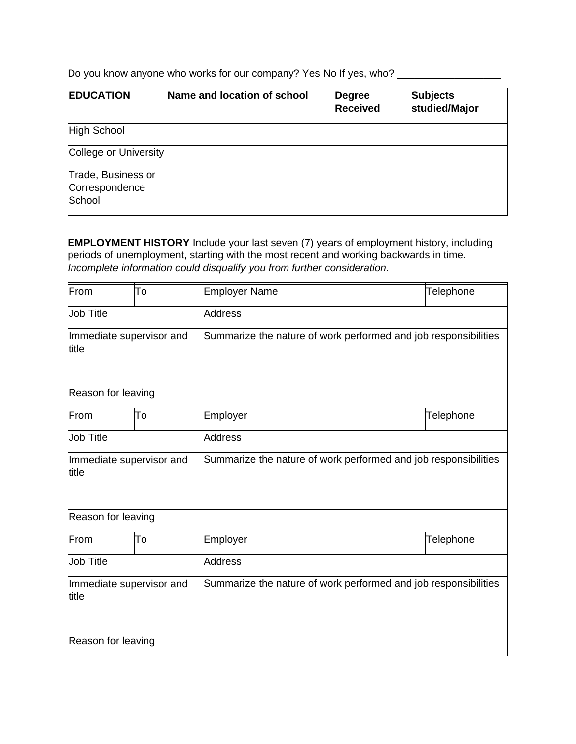Do you know anyone who works for our company? Yes No If yes, who? \_\_\_\_\_\_\_\_\_\_\_\_\_\_

| <b>EDUCATION</b>                               | Name and location of school | <b>Degree</b><br><b>Received</b> | <b>Subjects</b><br>studied/Major |
|------------------------------------------------|-----------------------------|----------------------------------|----------------------------------|
| High School                                    |                             |                                  |                                  |
| College or University                          |                             |                                  |                                  |
| Trade, Business or<br>Correspondence<br>School |                             |                                  |                                  |

**EMPLOYMENT HISTORY** Include your last seven (7) years of employment history, including periods of unemployment, starting with the most recent and working backwards in time. *Incomplete information could disqualify you from further consideration.*

| From                              | To             | <b>Employer Name</b>                                            | <b>Telephone</b> |  |
|-----------------------------------|----------------|-----------------------------------------------------------------|------------------|--|
| <b>Job Title</b>                  |                | <b>Address</b>                                                  |                  |  |
| Immediate supervisor and<br>title |                | Summarize the nature of work performed and job responsibilities |                  |  |
|                                   |                |                                                                 |                  |  |
| Reason for leaving                |                |                                                                 |                  |  |
| From                              | To             | Employer                                                        | <b>Telephone</b> |  |
| <b>Job Title</b>                  |                | <b>Address</b>                                                  |                  |  |
| Immediate supervisor and<br>title |                | Summarize the nature of work performed and job responsibilities |                  |  |
|                                   |                |                                                                 |                  |  |
| Reason for leaving                |                |                                                                 |                  |  |
| From                              | To             | Employer                                                        | Telephone        |  |
| <b>Job Title</b>                  | <b>Address</b> |                                                                 |                  |  |
| Immediate supervisor and<br>title |                | Summarize the nature of work performed and job responsibilities |                  |  |
|                                   |                |                                                                 |                  |  |
| Reason for leaving                |                |                                                                 |                  |  |